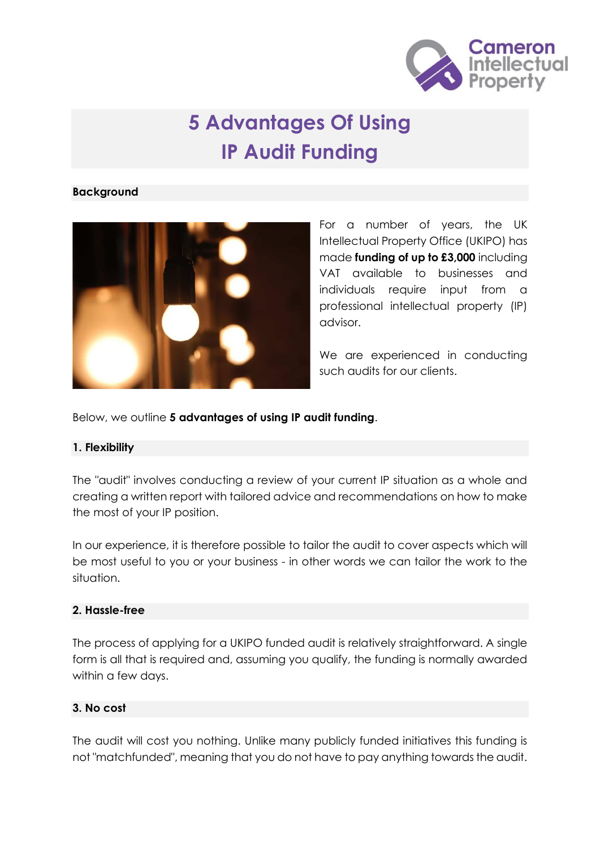

# **5 Advantages Of Using IP Audit Funding**

#### **Background**



For a number of years, the UK Intellectual Property Office (UKIPO) has made **funding of up to £3,000** including VAT available to businesses and individuals require input from a professional intellectual property (IP) advisor.

We are experienced in conducting such audits for our clients.

Below, we outline **5 advantages of using IP audit funding**.

### **1. Flexibility**

The "audit" involves conducting a review of your current IP situation as a whole and creating a written report with tailored advice and recommendations on how to make the most of your IP position.

In our experience, it is therefore possible to tailor the audit to cover aspects which will be most useful to you or your business - in other words we can tailor the work to the situation.

### **2. Hassle-free**

The process of applying for a UKIPO funded audit is relatively straightforward. A single form is all that is required and, assuming you qualify, the funding is normally awarded within a few days.

### **3. No cost**

The audit will cost you nothing. Unlike many publicly funded initiatives this funding is not "matchfunded", meaning that you do not have to pay anything towards the audit.